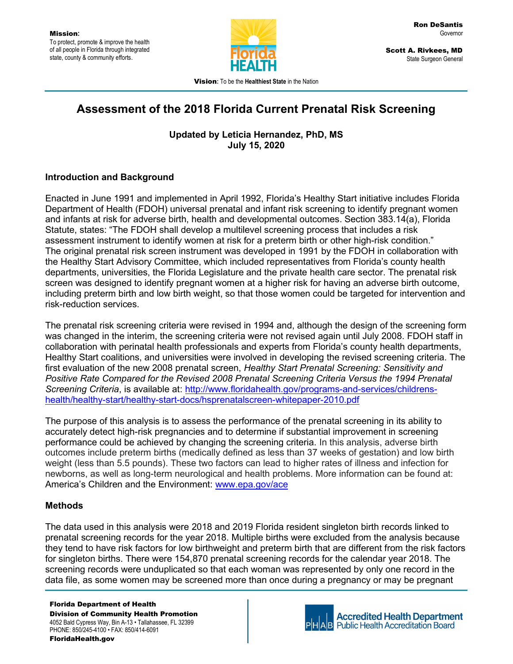

 Scott A. Rivkees, MD State Surgeon General

Vision: To be the Healthiest State in the Nation

# Assessment of the 2018 Florida Current Prenatal Risk Screening

Updated by Leticia Hernandez, PhD, MS July 15, 2020

## Introduction and Background

Enacted in June 1991 and implemented in April 1992, Florida's Healthy Start initiative includes Florida Department of Health (FDOH) universal prenatal and infant risk screening to identify pregnant women and infants at risk for adverse birth, health and developmental outcomes. Section 383.14(a), Florida Statute, states: "The FDOH shall develop a multilevel screening process that includes a risk assessment instrument to identify women at risk for a preterm birth or other high-risk condition." The original prenatal risk screen instrument was developed in 1991 by the FDOH in collaboration with the Healthy Start Advisory Committee, which included representatives from Florida's county health departments, universities, the Florida Legislature and the private health care sector. The prenatal risk screen was designed to identify pregnant women at a higher risk for having an adverse birth outcome, including preterm birth and low birth weight, so that those women could be targeted for intervention and risk-reduction services.

The prenatal risk screening criteria were revised in 1994 and, although the design of the screening form was changed in the interim, the screening criteria were not revised again until July 2008. FDOH staff in collaboration with perinatal health professionals and experts from Florida's county health departments, Healthy Start coalitions, and universities were involved in developing the revised screening criteria. The first evaluation of the new 2008 prenatal screen, Healthy Start Prenatal Screening: Sensitivity and Positive Rate Compared for the Revised 2008 Prenatal Screening Criteria Versus the 1994 Prenatal Screening Criteria, is available at: http://www.floridahealth.gov/programs-and-services/childrenshealth/healthy-start/healthy-start-docs/hsprenatalscreen-whitepaper-2010.pdf

The purpose of this analysis is to assess the performance of the prenatal screening in its ability to accurately detect high-risk pregnancies and to determine if substantial improvement in screening performance could be achieved by changing the screening criteria. In this analysis, adverse birth outcomes include preterm births (medically defined as less than 37 weeks of gestation) and low birth weight (less than 5.5 pounds). These two factors can lead to higher rates of illness and infection for newborns, as well as long-term neurological and health problems. More information can be found at: America's Children and the Environment: www.epa.gov/ace

# **Methods**

The data used in this analysis were 2018 and 2019 Florida resident singleton birth records linked to prenatal screening records for the year 2018. Multiple births were excluded from the analysis because they tend to have risk factors for low birthweight and preterm birth that are different from the risk factors for singleton births. There were 154,870 prenatal screening records for the calendar year 2018. The screening records were unduplicated so that each woman was represented by only one record in the data file, as some women may be screened more than once during a pregnancy or may be pregnant

Florida Department of Health Division of Community Health Promotion 4052 Bald Cypress Way, Bin A-13 • Tallahassee, FL 32399 PHONE: 850/245-4100 • FAX: 850/414-6091 FloridaHealth.gov



**Accredited Health Department Public Health Accreditation Board**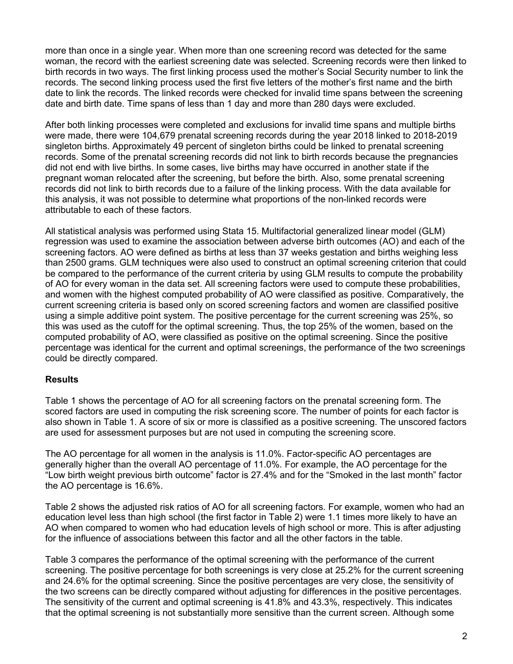more than once in a single year. When more than one screening record was detected for the same woman, the record with the earliest screening date was selected. Screening records were then linked to birth records in two ways. The first linking process used the mother's Social Security number to link the records. The second linking process used the first five letters of the mother's first name and the birth date to link the records. The linked records were checked for invalid time spans between the screening date and birth date. Time spans of less than 1 day and more than 280 days were excluded.

After both linking processes were completed and exclusions for invalid time spans and multiple births were made, there were 104,679 prenatal screening records during the year 2018 linked to 2018-2019 singleton births. Approximately 49 percent of singleton births could be linked to prenatal screening records. Some of the prenatal screening records did not link to birth records because the pregnancies did not end with live births. In some cases, live births may have occurred in another state if the pregnant woman relocated after the screening, but before the birth. Also, some prenatal screening records did not link to birth records due to a failure of the linking process. With the data available for this analysis, it was not possible to determine what proportions of the non-linked records were attributable to each of these factors.

All statistical analysis was performed using Stata 15. Multifactorial generalized linear model (GLM) regression was used to examine the association between adverse birth outcomes (AO) and each of the screening factors. AO were defined as births at less than 37 weeks gestation and births weighing less than 2500 grams. GLM techniques were also used to construct an optimal screening criterion that could be compared to the performance of the current criteria by using GLM results to compute the probability of AO for every woman in the data set. All screening factors were used to compute these probabilities, and women with the highest computed probability of AO were classified as positive. Comparatively, the current screening criteria is based only on scored screening factors and women are classified positive using a simple additive point system. The positive percentage for the current screening was 25%, so this was used as the cutoff for the optimal screening. Thus, the top 25% of the women, based on the computed probability of AO, were classified as positive on the optimal screening. Since the positive percentage was identical for the current and optimal screenings, the performance of the two screenings could be directly compared.

### Results

Table 1 shows the percentage of AO for all screening factors on the prenatal screening form. The scored factors are used in computing the risk screening score. The number of points for each factor is also shown in Table 1. A score of six or more is classified as a positive screening. The unscored factors are used for assessment purposes but are not used in computing the screening score.

The AO percentage for all women in the analysis is 11.0%. Factor-specific AO percentages are generally higher than the overall AO percentage of 11.0%. For example, the AO percentage for the "Low birth weight previous birth outcome" factor is 27.4% and for the "Smoked in the last month" factor the AO percentage is 16.6%.

Table 2 shows the adjusted risk ratios of AO for all screening factors. For example, women who had an education level less than high school (the first factor in Table 2) were 1.1 times more likely to have an AO when compared to women who had education levels of high school or more. This is after adjusting for the influence of associations between this factor and all the other factors in the table.

Table 3 compares the performance of the optimal screening with the performance of the current screening. The positive percentage for both screenings is very close at 25.2% for the current screening and 24.6% for the optimal screening. Since the positive percentages are very close, the sensitivity of the two screens can be directly compared without adjusting for differences in the positive percentages. The sensitivity of the current and optimal screening is 41.8% and 43.3%, respectively. This indicates that the optimal screening is not substantially more sensitive than the current screen. Although some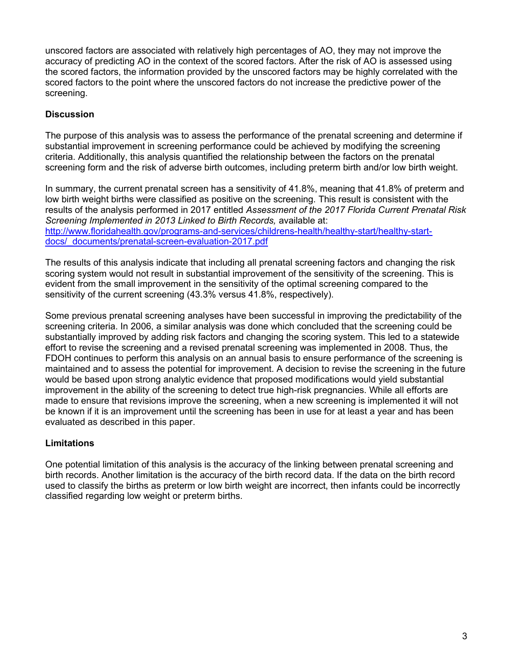unscored factors are associated with relatively high percentages of AO, they may not improve the accuracy of predicting AO in the context of the scored factors. After the risk of AO is assessed using the scored factors, the information provided by the unscored factors may be highly correlated with the scored factors to the point where the unscored factors do not increase the predictive power of the screening.

## **Discussion**

The purpose of this analysis was to assess the performance of the prenatal screening and determine if substantial improvement in screening performance could be achieved by modifying the screening criteria. Additionally, this analysis quantified the relationship between the factors on the prenatal screening form and the risk of adverse birth outcomes, including preterm birth and/or low birth weight.

In summary, the current prenatal screen has a sensitivity of 41.8%, meaning that 41.8% of preterm and low birth weight births were classified as positive on the screening. This result is consistent with the results of the analysis performed in 2017 entitled Assessment of the 2017 Florida Current Prenatal Risk Screening Implemented in 2013 Linked to Birth Records, available at: http://www.floridahealth.gov/programs-and-services/childrens-health/healthy-start/healthy-startdocs/\_documents/prenatal-screen-evaluation-2017.pdf

The results of this analysis indicate that including all prenatal screening factors and changing the risk scoring system would not result in substantial improvement of the sensitivity of the screening. This is evident from the small improvement in the sensitivity of the optimal screening compared to the sensitivity of the current screening (43.3% versus 41.8%, respectively).

Some previous prenatal screening analyses have been successful in improving the predictability of the screening criteria. In 2006, a similar analysis was done which concluded that the screening could be substantially improved by adding risk factors and changing the scoring system. This led to a statewide effort to revise the screening and a revised prenatal screening was implemented in 2008. Thus, the FDOH continues to perform this analysis on an annual basis to ensure performance of the screening is maintained and to assess the potential for improvement. A decision to revise the screening in the future would be based upon strong analytic evidence that proposed modifications would yield substantial improvement in the ability of the screening to detect true high-risk pregnancies. While all efforts are made to ensure that revisions improve the screening, when a new screening is implemented it will not be known if it is an improvement until the screening has been in use for at least a year and has been evaluated as described in this paper.

### Limitations

One potential limitation of this analysis is the accuracy of the linking between prenatal screening and birth records. Another limitation is the accuracy of the birth record data. If the data on the birth record used to classify the births as preterm or low birth weight are incorrect, then infants could be incorrectly classified regarding low weight or preterm births.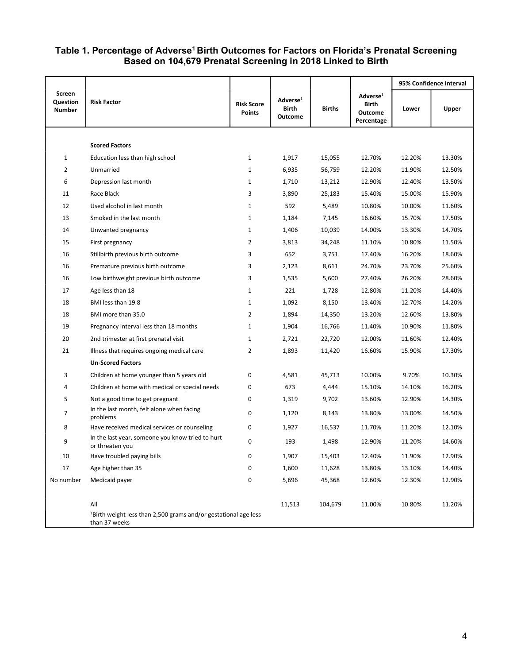#### Table 1. Percentage of Adverse<sup>1</sup> Birth Outcomes for Factors on Florida's Prenatal Screening Based on 104,679 Prenatal Screening in 2018 Linked to Birth

|                              |                                                                                              |                                    |                                                 |               |                                                        | 95% Confidence Interval |        |
|------------------------------|----------------------------------------------------------------------------------------------|------------------------------------|-------------------------------------------------|---------------|--------------------------------------------------------|-------------------------|--------|
| Screen<br>Question<br>Number | <b>Risk Factor</b>                                                                           | <b>Risk Score</b><br><b>Points</b> | Adverse <sup>1</sup><br>Birth<br><b>Outcome</b> | <b>Births</b> | Adverse <sup>1</sup><br>Birth<br>Outcome<br>Percentage | Lower                   | Upper  |
|                              |                                                                                              |                                    |                                                 |               |                                                        |                         |        |
|                              | <b>Scored Factors</b>                                                                        |                                    |                                                 |               |                                                        |                         |        |
| $\mathbf{1}$                 | Education less than high school                                                              | $\mathbf{1}$                       | 1,917                                           | 15,055        | 12.70%                                                 | 12.20%                  | 13.30% |
| $\overline{2}$               | Unmarried                                                                                    | $\mathbf{1}$                       | 6,935                                           | 56,759        | 12.20%                                                 | 11.90%                  | 12.50% |
| 6                            | Depression last month                                                                        | $\mathbf{1}$                       | 1,710                                           | 13,212        | 12.90%                                                 | 12.40%                  | 13.50% |
| 11                           | Race Black                                                                                   | 3                                  | 3,890                                           | 25,183        | 15.40%                                                 | 15.00%                  | 15.90% |
| 12                           | Used alcohol in last month                                                                   | 1                                  | 592                                             | 5,489         | 10.80%                                                 | 10.00%                  | 11.60% |
| 13                           | Smoked in the last month                                                                     | $\mathbf{1}$                       | 1,184                                           | 7,145         | 16.60%                                                 | 15.70%                  | 17.50% |
| 14                           | Unwanted pregnancy                                                                           | $\mathbf{1}$                       | 1,406                                           | 10,039        | 14.00%                                                 | 13.30%                  | 14.70% |
| 15                           | First pregnancy                                                                              | 2                                  | 3,813                                           | 34,248        | 11.10%                                                 | 10.80%                  | 11.50% |
| 16                           | Stillbirth previous birth outcome                                                            | 3                                  | 652                                             | 3,751         | 17.40%                                                 | 16.20%                  | 18.60% |
| 16                           | Premature previous birth outcome                                                             | 3                                  | 2,123                                           | 8,611         | 24.70%                                                 | 23.70%                  | 25.60% |
| 16                           | Low birthweight previous birth outcome                                                       | 3                                  | 1,535                                           | 5,600         | 27.40%                                                 | 26.20%                  | 28.60% |
| 17                           | Age less than 18                                                                             | $\mathbf{1}$                       | 221                                             | 1,728         | 12.80%                                                 | 11.20%                  | 14.40% |
| 18                           | BMI less than 19.8                                                                           | $\mathbf{1}$                       | 1,092                                           | 8,150         | 13.40%                                                 | 12.70%                  | 14.20% |
| 18                           | BMI more than 35.0                                                                           | $\overline{2}$                     | 1,894                                           | 14,350        | 13.20%                                                 | 12.60%                  | 13.80% |
| 19                           | Pregnancy interval less than 18 months                                                       | $\mathbf{1}$                       | 1,904                                           | 16,766        | 11.40%                                                 | 10.90%                  | 11.80% |
| 20                           | 2nd trimester at first prenatal visit                                                        | $\mathbf{1}$                       | 2,721                                           | 22,720        | 12.00%                                                 | 11.60%                  | 12.40% |
| 21                           | Illness that requires ongoing medical care                                                   | $\overline{2}$                     | 1,893                                           | 11,420        | 16.60%                                                 | 15.90%                  | 17.30% |
|                              | <b>Un-Scored Factors</b>                                                                     |                                    |                                                 |               |                                                        |                         |        |
| 3                            | Children at home younger than 5 years old                                                    | 0                                  | 4,581                                           | 45,713        | 10.00%                                                 | 9.70%                   | 10.30% |
| 4                            | Children at home with medical or special needs                                               | 0                                  | 673                                             | 4,444         | 15.10%                                                 | 14.10%                  | 16.20% |
| 5                            | Not a good time to get pregnant                                                              | 0                                  | 1,319                                           | 9,702         | 13.60%                                                 | 12.90%                  | 14.30% |
| $\overline{7}$               | In the last month, felt alone when facing<br>problems                                        | 0                                  | 1,120                                           | 8,143         | 13.80%                                                 | 13.00%                  | 14.50% |
| 8                            | Have received medical services or counseling                                                 | 0                                  | 1,927                                           | 16,537        | 11.70%                                                 | 11.20%                  | 12.10% |
| 9                            | In the last year, someone you know tried to hurt<br>or threaten you                          | 0                                  | 193                                             | 1,498         | 12.90%                                                 | 11.20%                  | 14.60% |
| 10                           | Have troubled paying bills                                                                   | 0                                  | 1,907                                           | 15,403        | 12.40%                                                 | 11.90%                  | 12.90% |
| 17                           | Age higher than 35                                                                           | 0                                  | 1,600                                           | 11,628        | 13.80%                                                 | 13.10%                  | 14.40% |
| No number                    | Medicaid payer                                                                               | 0                                  | 5,696                                           | 45,368        | 12.60%                                                 | 12.30%                  | 12.90% |
|                              | All                                                                                          |                                    | 11,513                                          | 104,679       | 11.00%                                                 | 10.80%                  | 11.20% |
|                              | <sup>1</sup> Birth weight less than 2,500 grams and/or gestational age less<br>than 37 weeks |                                    |                                                 |               |                                                        |                         |        |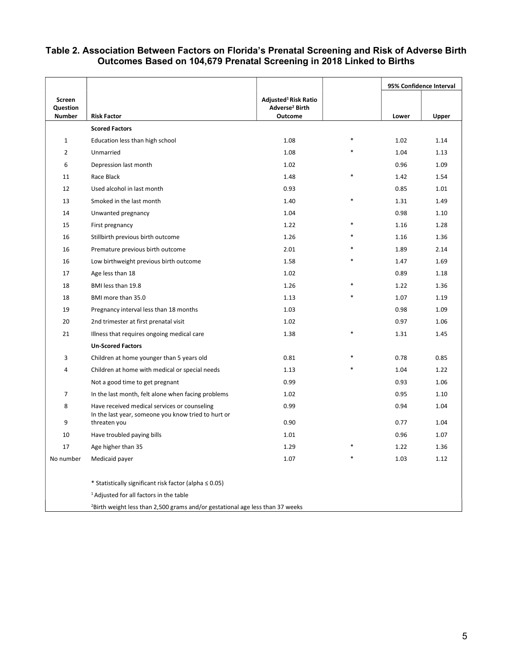#### Table 2. Association Between Factors on Florida's Prenatal Screening and Risk of Adverse Birth Outcomes Based on 104,679 Prenatal Screening in 2018 Linked to Births

|                           |                                                                                           |                                       |        | 95% Confidence Interval |       |  |  |
|---------------------------|-------------------------------------------------------------------------------------------|---------------------------------------|--------|-------------------------|-------|--|--|
| Screen                    |                                                                                           | Adjusted <sup>1</sup> Risk Ratio      |        |                         |       |  |  |
| Question<br><b>Number</b> | <b>Risk Factor</b>                                                                        | Adverse <sup>2</sup> Birth<br>Outcome |        | Lower                   | Upper |  |  |
|                           | <b>Scored Factors</b>                                                                     |                                       |        |                         |       |  |  |
| $\mathbf{1}$              | Education less than high school                                                           | 1.08                                  |        | 1.02                    | 1.14  |  |  |
| $\overline{2}$            | Unmarried                                                                                 | 1.08                                  | ×      | 1.04                    | 1.13  |  |  |
| 6                         | Depression last month                                                                     | 1.02                                  |        | 0.96                    | 1.09  |  |  |
| 11                        | Race Black                                                                                | 1.48                                  |        | 1.42                    | 1.54  |  |  |
| 12                        | Used alcohol in last month                                                                | 0.93                                  |        | 0.85                    | 1.01  |  |  |
| 13                        | Smoked in the last month                                                                  | 1.40                                  | $\ast$ | 1.31                    | 1.49  |  |  |
| 14                        | Unwanted pregnancy                                                                        | 1.04                                  |        | 0.98                    | 1.10  |  |  |
| 15                        | First pregnancy                                                                           | 1.22                                  | $\ast$ | 1.16                    | 1.28  |  |  |
| 16                        | Stillbirth previous birth outcome                                                         | 1.26                                  | $\ast$ | 1.16                    | 1.36  |  |  |
| 16                        | Premature previous birth outcome                                                          | 2.01                                  |        | 1.89                    | 2.14  |  |  |
| 16                        | Low birthweight previous birth outcome                                                    | 1.58                                  |        | 1.47                    | 1.69  |  |  |
| 17                        | Age less than 18                                                                          | 1.02                                  |        | 0.89                    | 1.18  |  |  |
| 18                        | BMI less than 19.8                                                                        | 1.26                                  |        | 1.22                    | 1.36  |  |  |
| 18                        | BMI more than 35.0                                                                        | 1.13                                  |        | 1.07                    | 1.19  |  |  |
| 19                        | Pregnancy interval less than 18 months                                                    | 1.03                                  |        | 0.98                    | 1.09  |  |  |
| 20                        | 2nd trimester at first prenatal visit                                                     | 1.02                                  |        | 0.97                    | 1.06  |  |  |
| 21                        | Illness that requires ongoing medical care                                                | 1.38                                  |        | 1.31                    | 1.45  |  |  |
|                           | <b>Un-Scored Factors</b>                                                                  |                                       |        |                         |       |  |  |
| 3                         | Children at home younger than 5 years old                                                 | 0.81                                  |        | 0.78                    | 0.85  |  |  |
| 4                         | Children at home with medical or special needs                                            | 1.13                                  |        | 1.04                    | 1.22  |  |  |
|                           | Not a good time to get pregnant                                                           | 0.99                                  |        | 0.93                    | 1.06  |  |  |
| $\overline{7}$            | In the last month, felt alone when facing problems                                        | 1.02                                  |        | 0.95                    | 1.10  |  |  |
| 8                         | Have received medical services or counseling                                              | 0.99                                  |        | 0.94                    | 1.04  |  |  |
|                           | In the last year, someone you know tried to hurt or                                       |                                       |        |                         |       |  |  |
| 9                         | threaten you                                                                              | 0.90                                  |        | 0.77                    | 1.04  |  |  |
| 10                        | Have troubled paying bills                                                                | 1.01                                  | $\ast$ | 0.96                    | 1.07  |  |  |
| 17                        | Age higher than 35                                                                        | 1.29                                  |        | 1.22                    | 1.36  |  |  |
| No number                 | Medicaid payer                                                                            | 1.07                                  |        | 1.03                    | 1.12  |  |  |
|                           | * Statistically significant risk factor (alpha $\leq 0.05$ )                              |                                       |        |                         |       |  |  |
|                           | <sup>1</sup> Adjusted for all factors in the table                                        |                                       |        |                         |       |  |  |
|                           | <sup>2</sup> Birth weight less than 2,500 grams and/or gestational age less than 37 weeks |                                       |        |                         |       |  |  |